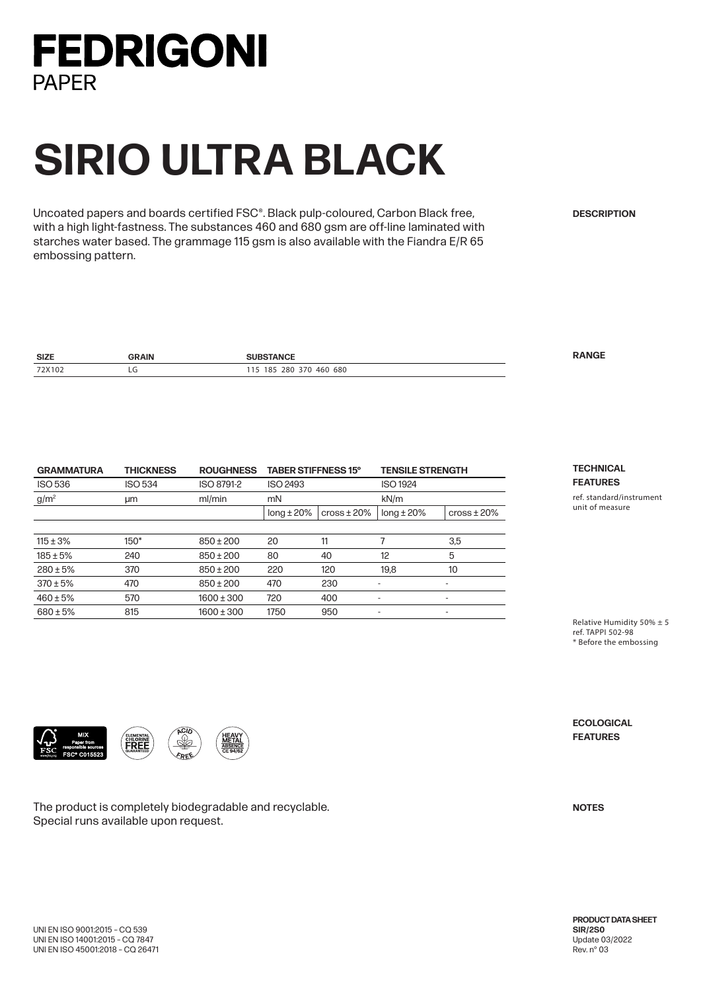

## **SIRIO ULTRA BLACK**

Uncoated papers and boards certified FSC®. Black pulp-coloured, Carbon Black free, with a high light-fastness. The substances 460 and 680 gsm are off-line laminated with starches water based. The grammage 115 gsm is also available with the Fiandra E/R 65 embossing pattern.

**DESCRIPTION**

| <b>SIZE</b> | <b>RAIN</b> |                                 | $\overline{\phantom{a}}$ |
|-------------|-------------|---------------------------------|--------------------------|
| 72X102      | È           | 680<br>280<br>460<br>185<br>370 |                          |

| <b>GRAMMATURA</b> | <b>TABER STIFFNESS 15°</b><br><b>THICKNESS</b><br><b>ROUGHNESS</b> |                |                 | <b>TENSILE STRENGTH</b> |                 |                    |
|-------------------|--------------------------------------------------------------------|----------------|-----------------|-------------------------|-----------------|--------------------|
| <b>ISO 536</b>    | <b>ISO 534</b>                                                     | ISO 8791-2     | <b>ISO 2493</b> |                         | <b>ISO 1924</b> |                    |
| $g/m^2$           | μm                                                                 | ml/min         | mN              |                         | kN/m            |                    |
|                   |                                                                    |                | $long \pm 20\%$ | $\csc \pm 20\%$         | $long \pm 20\%$ | $\cos\theta$ ± 20% |
|                   |                                                                    |                |                 |                         |                 |                    |
| $115 \pm 3\%$     | $150*$                                                             | $850 \pm 200$  | 20              | 11                      |                 | 3,5                |
| $185 \pm 5%$      | 240                                                                | $850 \pm 200$  | 80              | 40                      | 12              | 5                  |
| $280 \pm 5%$      | 370                                                                | $850 \pm 200$  | 220             | 120                     | 19.8            | 10 <sup>°</sup>    |
| $370 \pm 5\%$     | 470                                                                | $850 \pm 200$  | 470             | 230                     |                 | ٠                  |
| $460 \pm 5%$      | 570                                                                | $1600 \pm 300$ | 720             | 400                     |                 | ٠                  |
| $680 \pm 5\%$     | 815                                                                | $1600 \pm 300$ | 1750            | 950                     |                 | ٠                  |
|                   |                                                                    |                |                 |                         |                 |                    |

**FEATURES** ref. standard/instrument unit of measure

**TECHNICAL**

Relative Humidity 50% ± 5 ref. TAPPI 502-98 \* Before the embossing



The product is completely biodegradable and recyclable. Special runs available upon request.

**FEATURES**

**ECOLOGICAL**

**NOTES**

**PRODUCT DATA SHEET SIR/2S0** Update 03/2022 Rev. n° 03